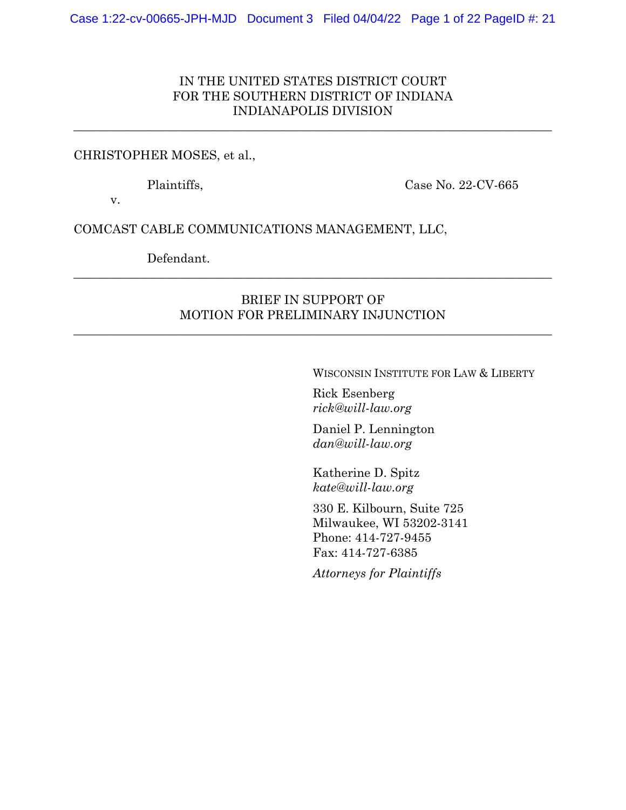## IN THE UNITED STATES DISTRICT COURT FOR THE SOUTHERN DISTRICT OF INDIANA INDIANAPOLIS DIVISION

\_\_\_\_\_\_\_\_\_\_\_\_\_\_\_\_\_\_\_\_\_\_\_\_\_\_\_\_\_\_\_\_\_\_\_\_\_\_\_\_\_\_\_\_\_\_\_\_\_\_\_\_\_\_\_\_\_\_\_\_\_\_\_\_\_\_\_\_\_\_\_\_\_\_\_\_\_\_

#### CHRISTOPHER MOSES, et al.,

Plaintiffs, Case No. 22-CV-665

v.

COMCAST CABLE COMMUNICATIONS MANAGEMENT, LLC,

Defendant.

### BRIEF IN SUPPORT OF MOTION FOR PRELIMINARY INJUNCTION

\_\_\_\_\_\_\_\_\_\_\_\_\_\_\_\_\_\_\_\_\_\_\_\_\_\_\_\_\_\_\_\_\_\_\_\_\_\_\_\_\_\_\_\_\_\_\_\_\_\_\_\_\_\_\_\_\_\_\_\_\_\_\_\_\_\_\_\_\_\_\_\_\_\_\_\_\_\_

\_\_\_\_\_\_\_\_\_\_\_\_\_\_\_\_\_\_\_\_\_\_\_\_\_\_\_\_\_\_\_\_\_\_\_\_\_\_\_\_\_\_\_\_\_\_\_\_\_\_\_\_\_\_\_\_\_\_\_\_\_\_\_\_\_\_\_\_\_\_\_\_\_\_\_\_\_\_

WISCONSIN INSTITUTE FOR LAW & LIBERTY

Rick Esenberg *rick@will-law.org*

Daniel P. Lennington *dan@will-law.org*

Katherine D. Spitz *kate@will-law.org*

330 E. Kilbourn, Suite 725 Milwaukee, WI 53202-3141 Phone: 414-727-9455 Fax: 414-727-6385

*Attorneys for Plaintiffs*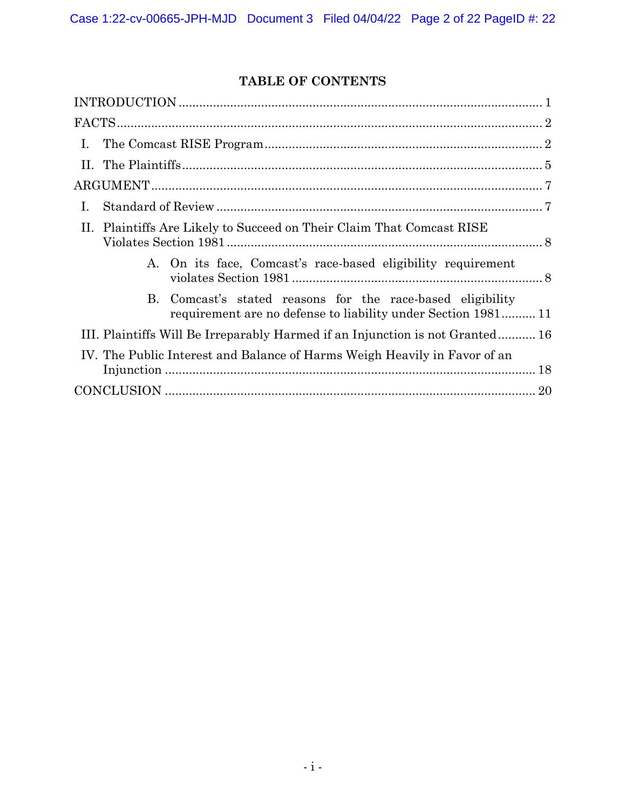# **TABLE OF CONTENTS**

| $\mathbf{I}$ .                                                                                                              |
|-----------------------------------------------------------------------------------------------------------------------------|
|                                                                                                                             |
|                                                                                                                             |
| Ι.                                                                                                                          |
| Plaintiffs Are Likely to Succeed on Their Claim That Comcast RISE<br>II.                                                    |
| A. On its face, Comcast's race-based eligibility requirement                                                                |
| B. Comcast's stated reasons for the race-based eligibility<br>requirement are no defense to liability under Section 1981 11 |
| III. Plaintiffs Will Be Irreparably Harmed if an Injunction is not Granted 16                                               |
| IV. The Public Interest and Balance of Harms Weigh Heavily in Favor of an                                                   |
|                                                                                                                             |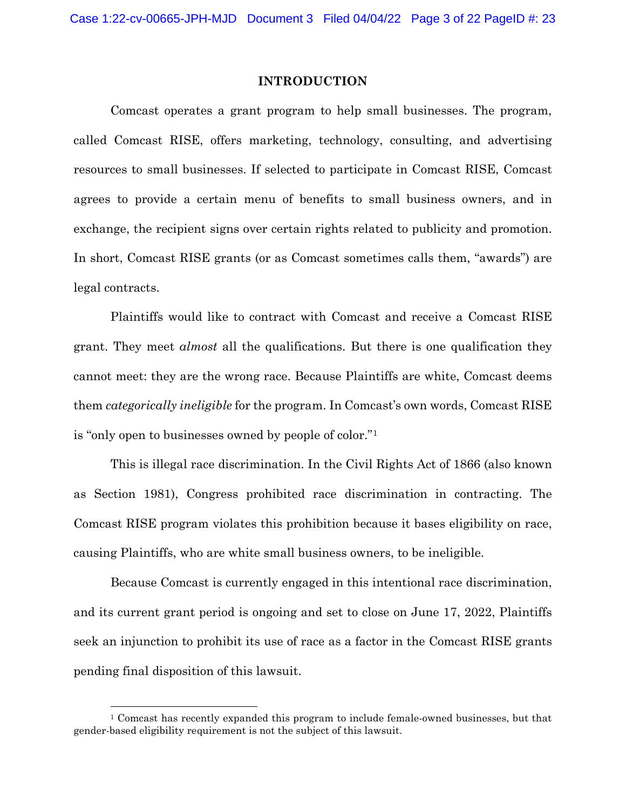#### **INTRODUCTION**

Comcast operates a grant program to help small businesses. The program, called Comcast RISE, offers marketing, technology, consulting, and advertising resources to small businesses. If selected to participate in Comcast RISE, Comcast agrees to provide a certain menu of benefits to small business owners, and in exchange, the recipient signs over certain rights related to publicity and promotion. In short, Comcast RISE grants (or as Comcast sometimes calls them, "awards") are legal contracts.

Plaintiffs would like to contract with Comcast and receive a Comcast RISE grant. They meet *almost* all the qualifications. But there is one qualification they cannot meet: they are the wrong race. Because Plaintiffs are white, Comcast deems them *categorically ineligible* for the program. In Comcast's own words, Comcast RISE is "only open to businesses owned by people of color."[1](#page-2-0)

This is illegal race discrimination. In the Civil Rights Act of 1866 (also known as Section 1981), Congress prohibited race discrimination in contracting. The Comcast RISE program violates this prohibition because it bases eligibility on race, causing Plaintiffs, who are white small business owners, to be ineligible.

Because Comcast is currently engaged in this intentional race discrimination, and its current grant period is ongoing and set to close on June 17, 2022, Plaintiffs seek an injunction to prohibit its use of race as a factor in the Comcast RISE grants pending final disposition of this lawsuit.

<span id="page-2-0"></span><sup>1</sup> Comcast has recently expanded this program to include female-owned businesses, but that gender-based eligibility requirement is not the subject of this lawsuit.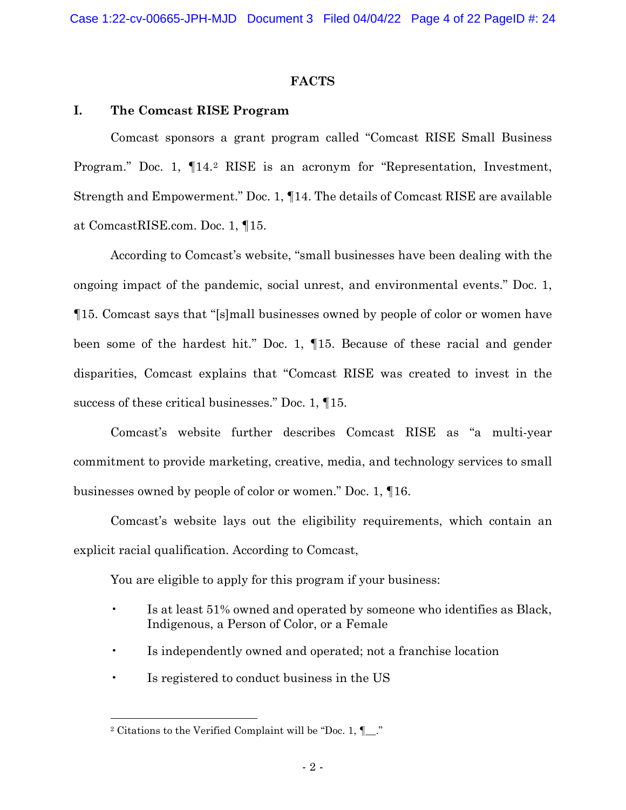#### **FACTS**

### **I. The Comcast RISE Program**

Comcast sponsors a grant program called "Comcast RISE Small Business Program." Doc. 1, ¶14.[2](#page-3-0) RISE is an acronym for "Representation, Investment, Strength and Empowerment." Doc. 1, ¶14. The details of Comcast RISE are available at ComcastRISE.com. Doc. 1, ¶15.

According to Comcast's website, "small businesses have been dealing with the ongoing impact of the pandemic, social unrest, and environmental events." Doc. 1, ¶15. Comcast says that "[s]mall businesses owned by people of color or women have been some of the hardest hit." Doc. 1, ¶15. Because of these racial and gender disparities, Comcast explains that "Comcast RISE was created to invest in the success of these critical businesses." Doc. 1, ¶15.

Comcast's website further describes Comcast RISE as "a multi-year commitment to provide marketing, creative, media, and technology services to small businesses owned by people of color or women." Doc. 1, ¶16.

Comcast's website lays out the eligibility requirements, which contain an explicit racial qualification. According to Comcast,

You are eligible to apply for this program if your business:

- Is at least 51% owned and operated by someone who identifies as Black, Indigenous, a Person of Color, or a Female
- Is independently owned and operated; not a franchise location
- Is registered to conduct business in the US

<span id="page-3-0"></span><sup>2</sup> Citations to the Verified Complaint will be "Doc. 1, ¶\_\_."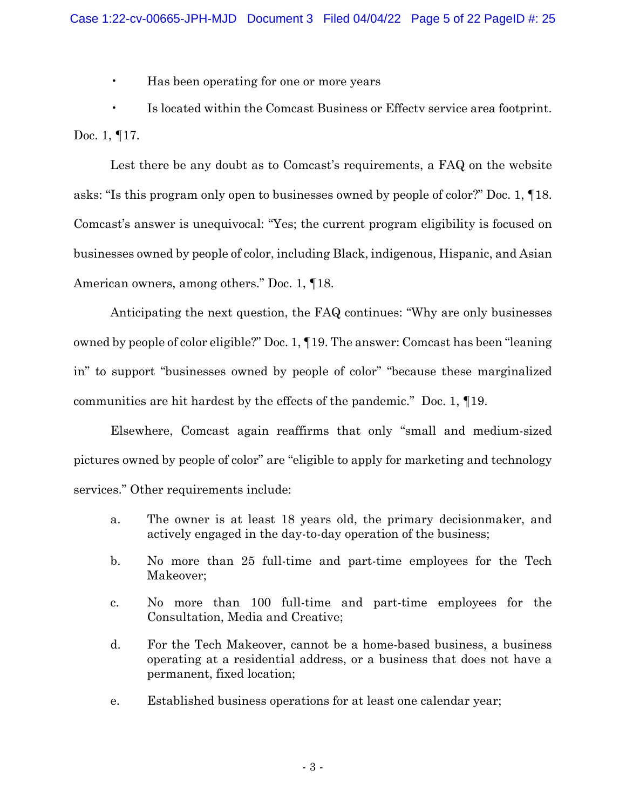• Has been operating for one or more years

• Is located within the Comcast Business or Effectv service area footprint. Doc. 1, ¶17.

Lest there be any doubt as to Comcast's requirements, a FAQ on the website asks: "Is this program only open to businesses owned by people of color?" Doc. 1, ¶18. Comcast's answer is unequivocal: "Yes; the current program eligibility is focused on businesses owned by people of color, including Black, indigenous, Hispanic, and Asian American owners, among others." Doc. 1, ¶18.

Anticipating the next question, the FAQ continues: "Why are only businesses owned by people of color eligible?" Doc. 1, ¶19. The answer: Comcast has been "leaning in" to support "businesses owned by people of color" "because these marginalized communities are hit hardest by the effects of the pandemic." Doc. 1, ¶19.

Elsewhere, Comcast again reaffirms that only "small and medium-sized pictures owned by people of color" are "eligible to apply for marketing and technology services." Other requirements include:

- a. The owner is at least 18 years old, the primary decisionmaker, and actively engaged in the day-to-day operation of the business;
- b. No more than 25 full-time and part-time employees for the Tech Makeover;
- c. No more than 100 full-time and part-time employees for the Consultation, Media and Creative;
- d. For the Tech Makeover, cannot be a home-based business, a business operating at a residential address, or a business that does not have a permanent, fixed location;
- e. Established business operations for at least one calendar year;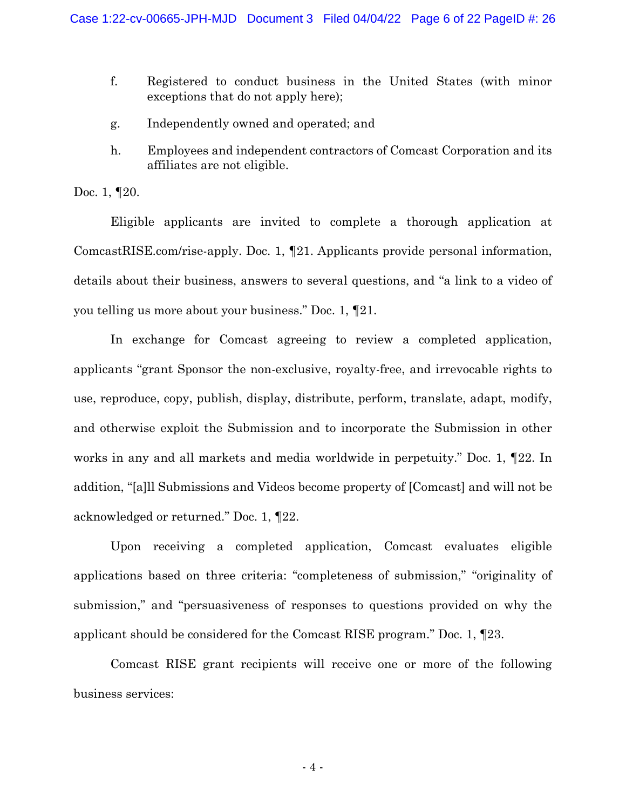- f. Registered to conduct business in the United States (with minor exceptions that do not apply here);
- g. Independently owned and operated; and
- h. Employees and independent contractors of Comcast Corporation and its affiliates are not eligible.

Doc. 1, **120.** 

Eligible applicants are invited to complete a thorough application at ComcastRISE.com/rise-apply. Doc. 1, ¶21. Applicants provide personal information, details about their business, answers to several questions, and "a link to a video of you telling us more about your business." Doc. 1, ¶21.

In exchange for Comcast agreeing to review a completed application, applicants "grant Sponsor the non-exclusive, royalty-free, and irrevocable rights to use, reproduce, copy, publish, display, distribute, perform, translate, adapt, modify, and otherwise exploit the Submission and to incorporate the Submission in other works in any and all markets and media worldwide in perpetuity." Doc. 1, ¶22. In addition, "[a]ll Submissions and Videos become property of [Comcast] and will not be acknowledged or returned." Doc. 1, ¶22.

Upon receiving a completed application, Comcast evaluates eligible applications based on three criteria: "completeness of submission," "originality of submission," and "persuasiveness of responses to questions provided on why the applicant should be considered for the Comcast RISE program." Doc. 1, ¶23.

Comcast RISE grant recipients will receive one or more of the following business services: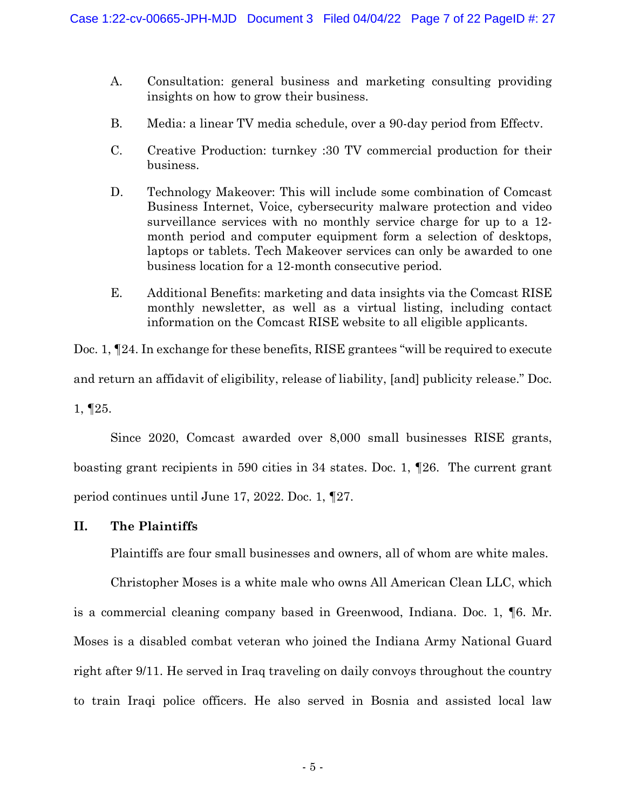- A. Consultation: general business and marketing consulting providing insights on how to grow their business.
- B. Media: a linear TV media schedule, over a 90-day period from Effectv.
- C. Creative Production: turnkey :30 TV commercial production for their business.
- D. Technology Makeover: This will include some combination of Comcast Business Internet, Voice, cybersecurity malware protection and video surveillance services with no monthly service charge for up to a 12 month period and computer equipment form a selection of desktops, laptops or tablets. Tech Makeover services can only be awarded to one business location for a 12-month consecutive period.
- E. Additional Benefits: marketing and data insights via the Comcast RISE monthly newsletter, as well as a virtual listing, including contact information on the Comcast RISE website to all eligible applicants.

Doc. 1, 124. In exchange for these benefits, RISE grantees "will be required to execute and return an affidavit of eligibility, release of liability, [and] publicity release." Doc. 1, ¶25.

Since 2020, Comcast awarded over 8,000 small businesses RISE grants, boasting grant recipients in 590 cities in 34 states. Doc. 1, ¶26. The current grant period continues until June 17, 2022. Doc. 1, ¶27.

## **II. The Plaintiffs**

Plaintiffs are four small businesses and owners, all of whom are white males.

Christopher Moses is a white male who owns All American Clean LLC, which is a commercial cleaning company based in Greenwood, Indiana. Doc. 1, ¶6. Mr. Moses is a disabled combat veteran who joined the Indiana Army National Guard right after 9/11. He served in Iraq traveling on daily convoys throughout the country to train Iraqi police officers. He also served in Bosnia and assisted local law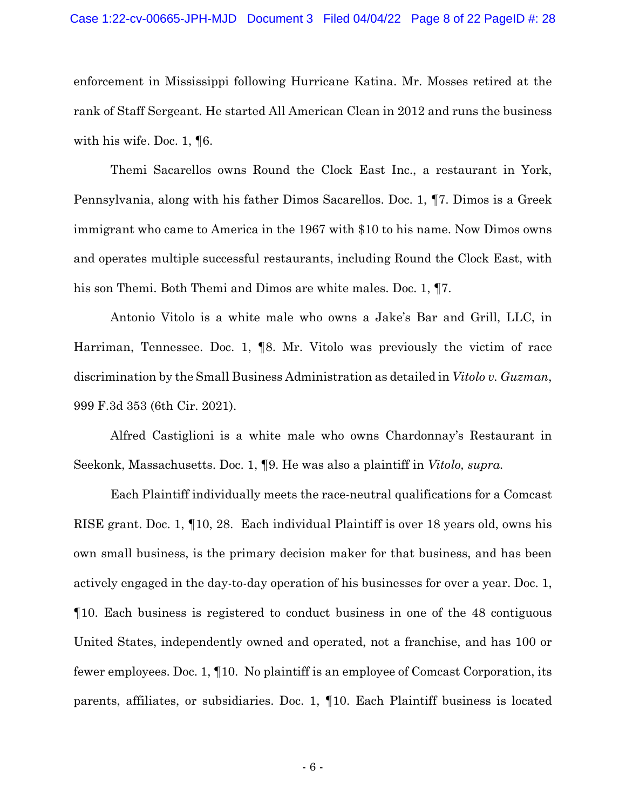enforcement in Mississippi following Hurricane Katina. Mr. Mosses retired at the rank of Staff Sergeant. He started All American Clean in 2012 and runs the business with his wife. Doc. 1, ¶6.

Themi Sacarellos owns Round the Clock East Inc., a restaurant in York, Pennsylvania, along with his father Dimos Sacarellos. Doc. 1, ¶7. Dimos is a Greek immigrant who came to America in the 1967 with \$10 to his name. Now Dimos owns and operates multiple successful restaurants, including Round the Clock East, with his son Themi. Both Themi and Dimos are white males. Doc. 1, ¶7.

Antonio Vitolo is a white male who owns a Jake's Bar and Grill, LLC, in Harriman, Tennessee. Doc. 1, ¶8. Mr. Vitolo was previously the victim of race discrimination by the Small Business Administration as detailed in *Vitolo v. Guzman*, 999 F.3d 353 (6th Cir. 2021).

Alfred Castiglioni is a white male who owns Chardonnay's Restaurant in Seekonk, Massachusetts. Doc. 1, ¶9. He was also a plaintiff in *Vitolo, supra.*

Each Plaintiff individually meets the race-neutral qualifications for a Comcast RISE grant. Doc. 1, ¶10, 28. Each individual Plaintiff is over 18 years old, owns his own small business, is the primary decision maker for that business, and has been actively engaged in the day-to-day operation of his businesses for over a year. Doc. 1, ¶10. Each business is registered to conduct business in one of the 48 contiguous United States, independently owned and operated, not a franchise, and has 100 or fewer employees. Doc. 1, ¶10. No plaintiff is an employee of Comcast Corporation, its parents, affiliates, or subsidiaries. Doc. 1, ¶10. Each Plaintiff business is located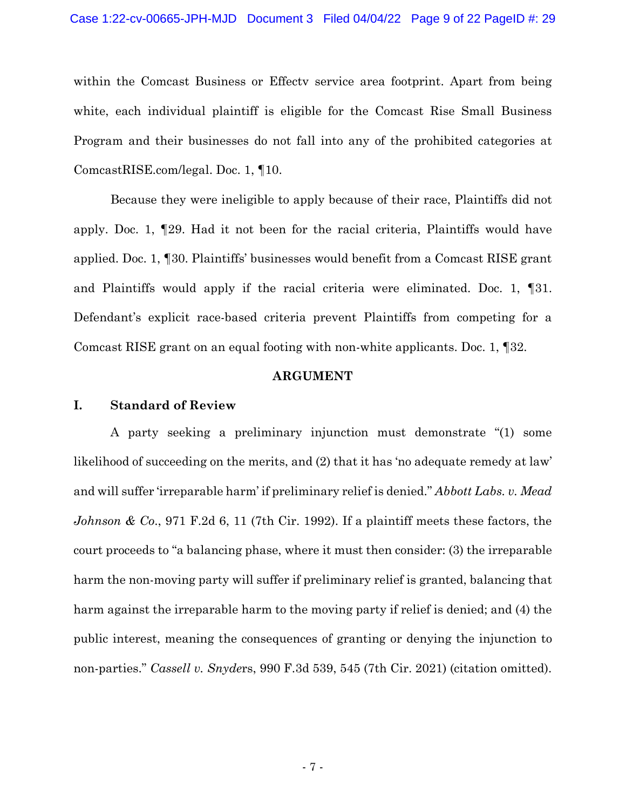within the Comcast Business or Effectv service area footprint. Apart from being white, each individual plaintiff is eligible for the Comcast Rise Small Business Program and their businesses do not fall into any of the prohibited categories at ComcastRISE.com/legal. Doc. 1, ¶10.

Because they were ineligible to apply because of their race, Plaintiffs did not apply. Doc. 1, ¶29. Had it not been for the racial criteria, Plaintiffs would have applied. Doc. 1, ¶30. Plaintiffs' businesses would benefit from a Comcast RISE grant and Plaintiffs would apply if the racial criteria were eliminated. Doc. 1, ¶31. Defendant's explicit race-based criteria prevent Plaintiffs from competing for a Comcast RISE grant on an equal footing with non-white applicants. Doc. 1, ¶32.

#### **ARGUMENT**

### **I. Standard of Review**

A party seeking a preliminary injunction must demonstrate "(1) some likelihood of succeeding on the merits, and (2) that it has 'no adequate remedy at law' and will suffer 'irreparable harm' if preliminary relief is denied." *Abbott Labs. v. Mead Johnson & Co*., 971 F.2d 6, 11 (7th Cir. 1992). If a plaintiff meets these factors, the court proceeds to "a balancing phase, where it must then consider: (3) the irreparable harm the non-moving party will suffer if preliminary relief is granted, balancing that harm against the irreparable harm to the moving party if relief is denied; and (4) the public interest, meaning the consequences of granting or denying the injunction to non-parties." *Cassell v. Snyde*rs, 990 F.3d 539, 545 (7th Cir. 2021) (citation omitted).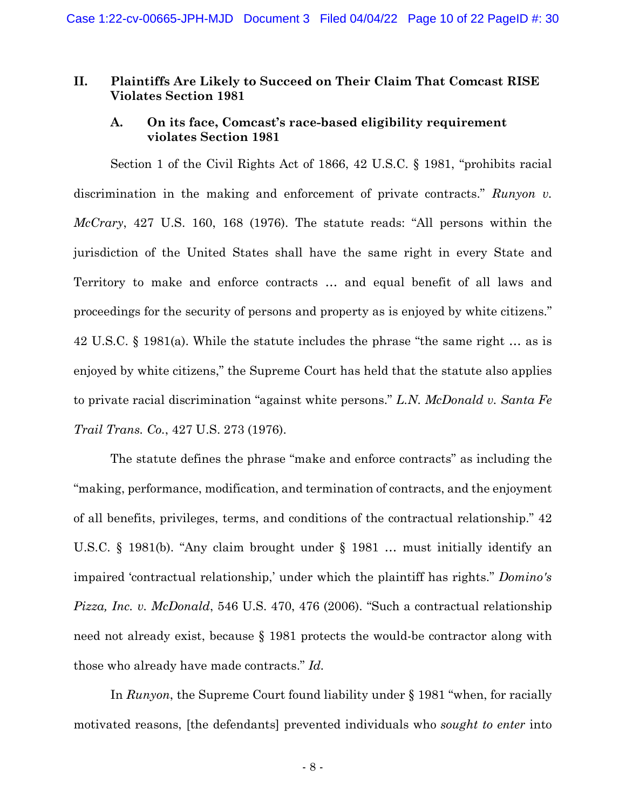#### **II. Plaintiffs Are Likely to Succeed on Their Claim That Comcast RISE Violates Section 1981**

### **A. On its face, Comcast's race-based eligibility requirement violates Section 1981**

Section 1 of the Civil Rights Act of 1866, 42 U.S.C. § 1981, "prohibits racial discrimination in the making and enforcement of private contracts." *Runyon v. McCrary*, 427 U.S. 160, 168 (1976). The statute reads: "All persons within the jurisdiction of the United States shall have the same right in every State and Territory to make and enforce contracts … and equal benefit of all laws and proceedings for the security of persons and property as is enjoyed by white citizens." 42 U.S.C. § 1981(a). While the statute includes the phrase "the same right … as is enjoyed by white citizens," the Supreme Court has held that the statute also applies to private racial discrimination "against white persons." *L.N. McDonald v. Santa Fe Trail Trans. Co.*, 427 U.S. 273 (1976).

The statute defines the phrase "make and enforce contracts" as including the "making, performance, modification, and termination of contracts, and the enjoyment of all benefits, privileges, terms, and conditions of the contractual relationship." 42 U.S.C. § 1981(b). "Any claim brought under § 1981 … must initially identify an impaired 'contractual relationship,' under which the plaintiff has rights." *Domino's Pizza, Inc. v. McDonald*, 546 U.S. 470, 476 (2006). "Such a contractual relationship need not already exist, because § 1981 protects the would-be contractor along with those who already have made contracts." *Id.*

In *Runyon*, the Supreme Court found liability under § 1981 "when, for racially motivated reasons, [the defendants] prevented individuals who *sought to enter* into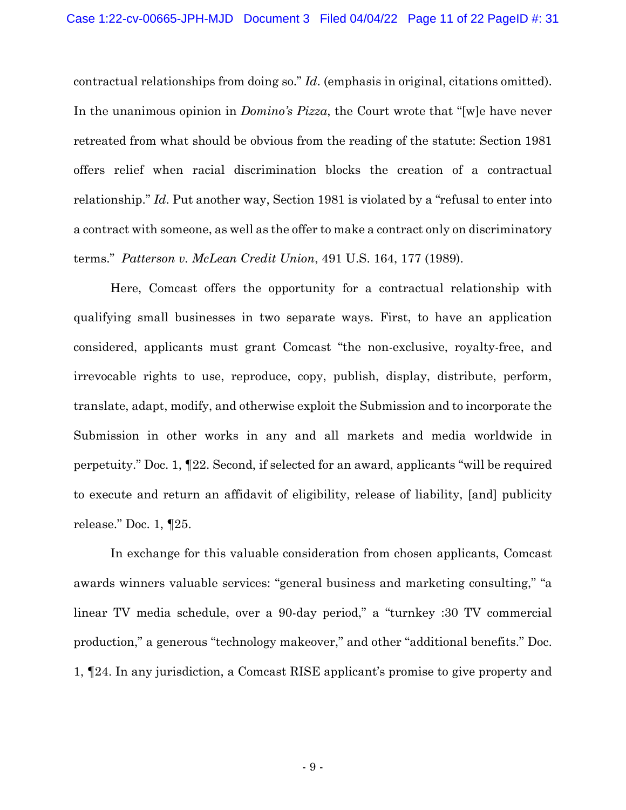contractual relationships from doing so." *Id*. (emphasis in original, citations omitted). In the unanimous opinion in *Domino's Pizza*, the Court wrote that "[w]e have never retreated from what should be obvious from the reading of the statute: Section 1981 offers relief when racial discrimination blocks the creation of a contractual relationship." *Id*. Put another way, Section 1981 is violated by a "refusal to enter into a contract with someone, as well as the offer to make a contract only on discriminatory terms." *Patterson v. McLean Credit Union*, 491 U.S. 164, 177 (1989).

Here, Comcast offers the opportunity for a contractual relationship with qualifying small businesses in two separate ways. First, to have an application considered, applicants must grant Comcast "the non-exclusive, royalty-free, and irrevocable rights to use, reproduce, copy, publish, display, distribute, perform, translate, adapt, modify, and otherwise exploit the Submission and to incorporate the Submission in other works in any and all markets and media worldwide in perpetuity." Doc. 1, ¶22. Second, if selected for an award, applicants "will be required to execute and return an affidavit of eligibility, release of liability, [and] publicity release." Doc. 1, ¶25.

In exchange for this valuable consideration from chosen applicants, Comcast awards winners valuable services: "general business and marketing consulting," "a linear TV media schedule, over a 90-day period," a "turnkey :30 TV commercial production," a generous "technology makeover," and other "additional benefits." Doc. 1, ¶24. In any jurisdiction, a Comcast RISE applicant's promise to give property and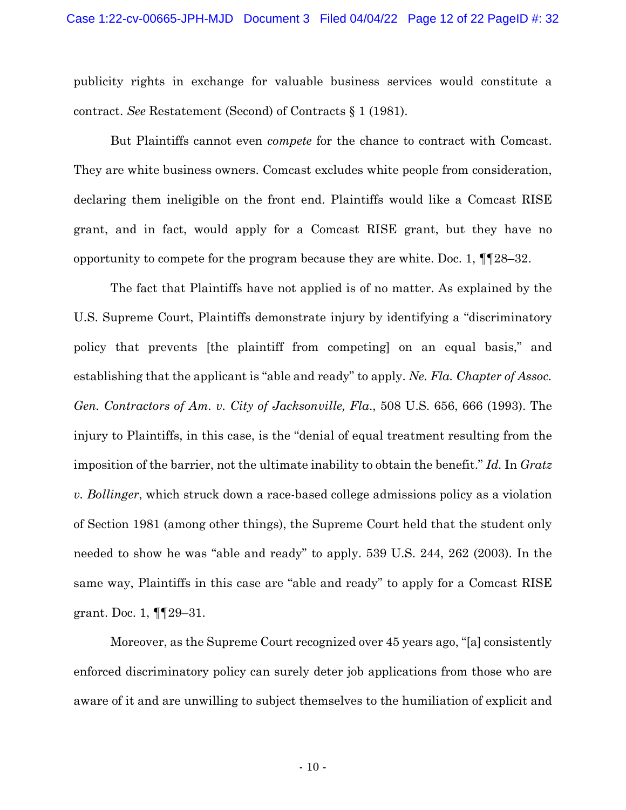publicity rights in exchange for valuable business services would constitute a contract. *See* Restatement (Second) of Contracts § 1 (1981).

But Plaintiffs cannot even *compete* for the chance to contract with Comcast. They are white business owners. Comcast excludes white people from consideration, declaring them ineligible on the front end. Plaintiffs would like a Comcast RISE grant, and in fact, would apply for a Comcast RISE grant, but they have no opportunity to compete for the program because they are white. Doc. 1,  $\P$ [28–32.

The fact that Plaintiffs have not applied is of no matter. As explained by the U.S. Supreme Court, Plaintiffs demonstrate injury by identifying a "discriminatory policy that prevents [the plaintiff from competing] on an equal basis," and establishing that the applicant is "able and ready" to apply. *Ne. Fla. Chapter of Assoc. Gen. Contractors of Am. v. City of Jacksonville, Fla*., 508 U.S. 656, 666 (1993). The injury to Plaintiffs, in this case, is the "denial of equal treatment resulting from the imposition of the barrier, not the ultimate inability to obtain the benefit." *Id.* In *Gratz v. Bollinger*, which struck down a race-based college admissions policy as a violation of Section 1981 (among other things), the Supreme Court held that the student only needed to show he was "able and ready" to apply. 539 U.S. 244, 262 (2003). In the same way, Plaintiffs in this case are "able and ready" to apply for a Comcast RISE grant. Doc. 1, ¶¶29–31.

Moreover, as the Supreme Court recognized over 45 years ago, "[a] consistently enforced discriminatory policy can surely deter job applications from those who are aware of it and are unwilling to subject themselves to the humiliation of explicit and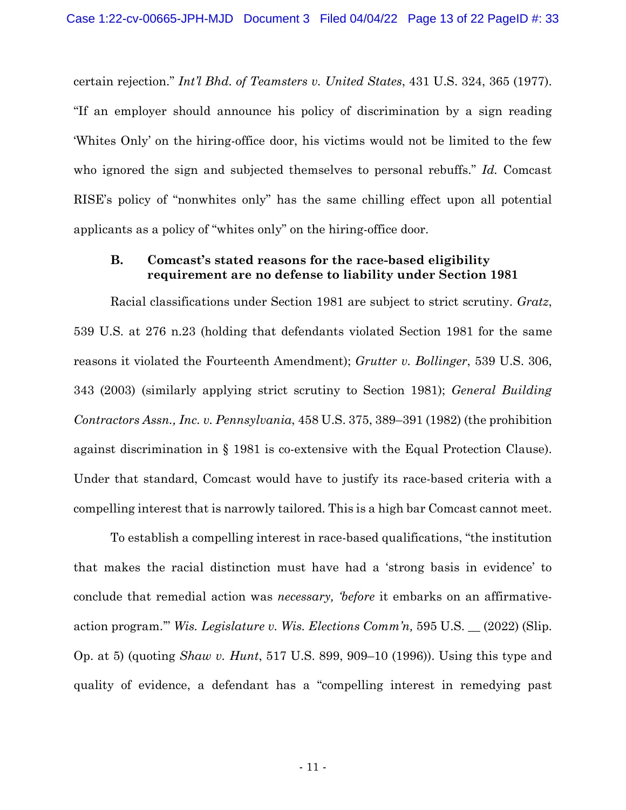certain rejection." *Int'l Bhd. of Teamsters v. United States*, 431 U.S. 324, 365 (1977). "If an employer should announce his policy of discrimination by a sign reading 'Whites Only' on the hiring-office door, his victims would not be limited to the few who ignored the sign and subjected themselves to personal rebuffs." *Id.* Comcast RISE's policy of "nonwhites only" has the same chilling effect upon all potential applicants as a policy of "whites only" on the hiring-office door.

#### **B. Comcast's stated reasons for the race-based eligibility requirement are no defense to liability under Section 1981**

Racial classifications under Section 1981 are subject to strict scrutiny. *Gratz*, 539 U.S. at 276 n.23 (holding that defendants violated Section 1981 for the same reasons it violated the Fourteenth Amendment); *Grutter v. Bollinger*, 539 U.S. 306, 343 (2003) (similarly applying strict scrutiny to Section 1981); *General Building Contractors Assn., Inc. v. Pennsylvania*, 458 U.S. 375, 389–391 (1982) (the prohibition against discrimination in § 1981 is co-extensive with the Equal Protection Clause). Under that standard, Comcast would have to justify its race-based criteria with a compelling interest that is narrowly tailored. This is a high bar Comcast cannot meet.

To establish a compelling interest in race-based qualifications, "the institution that makes the racial distinction must have had a 'strong basis in evidence' to conclude that remedial action was *necessary, 'before* it embarks on an affirmativeaction program.'" *Wis. Legislature v. Wis. Elections Comm'n,* 595 U.S. \_\_ (2022) (Slip. Op. at 5) (quoting *Shaw v. Hunt*, 517 U.S. 899, 909–10 (1996)). Using this type and quality of evidence, a defendant has a "compelling interest in remedying past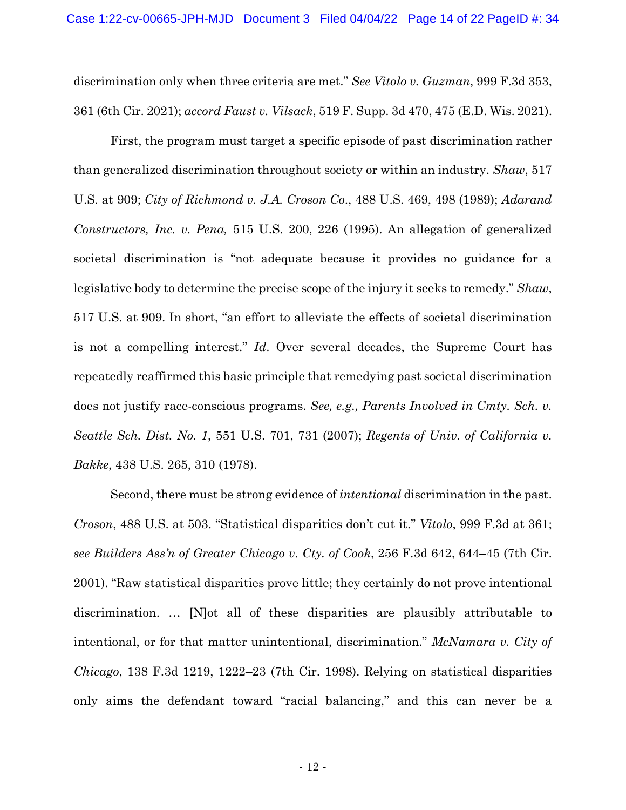discrimination only when three criteria are met." *See Vitolo v. Guzman*, 999 F.3d 353, 361 (6th Cir. 2021); *accord Faust v. Vilsack*, 519 F. Supp. 3d 470, 475 (E.D. Wis. 2021).

First, the program must target a specific episode of past discrimination rather than generalized discrimination throughout society or within an industry. *Shaw*, 517 U.S. at 909; *City of Richmond v. J.A. Croson Co*., 488 U.S. 469, 498 (1989); *Adarand Constructors, Inc. v. Pena,* 515 U.S. 200, 226 (1995). An allegation of generalized societal discrimination is "not adequate because it provides no guidance for a legislative body to determine the precise scope of the injury it seeks to remedy." *Shaw*, 517 U.S. at 909. In short, "an effort to alleviate the effects of societal discrimination is not a compelling interest." *Id*. Over several decades, the Supreme Court has repeatedly reaffirmed this basic principle that remedying past societal discrimination does not justify race-conscious programs. *See, e.g., Parents Involved in Cmty. Sch. v. Seattle Sch. Dist. No. 1*, 551 U.S. 701, 731 (2007); *Regents of Univ. of California v. Bakke*, 438 U.S. 265, 310 (1978).

Second, there must be strong evidence of *intentional* discrimination in the past. *Croson*, 488 U.S. at 503. "Statistical disparities don't cut it." *Vitolo*, 999 F.3d at 361; *see Builders Ass'n of Greater Chicago v. Cty. of Cook*, 256 F.3d 642, 644–45 (7th Cir. 2001). "Raw statistical disparities prove little; they certainly do not prove intentional discrimination. … [N]ot all of these disparities are plausibly attributable to intentional, or for that matter unintentional, discrimination." *McNamara v. City of Chicago*, 138 F.3d 1219, 1222–23 (7th Cir. 1998). Relying on statistical disparities only aims the defendant toward "racial balancing," and this can never be a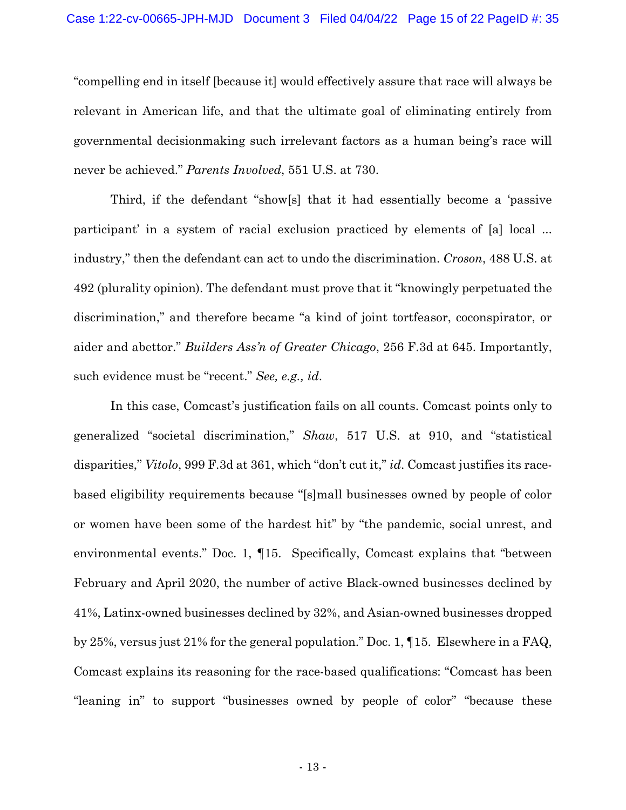"compelling end in itself [because it] would effectively assure that race will always be relevant in American life, and that the ultimate goal of eliminating entirely from governmental decisionmaking such irrelevant factors as a human being's race will never be achieved." *Parents Involved*, 551 U.S. at 730.

Third, if the defendant "show[s] that it had essentially become a 'passive participant' in a system of racial exclusion practiced by elements of [a] local ... industry," then the defendant can act to undo the discrimination. *Croson*, 488 U.S. at 492 (plurality opinion). The defendant must prove that it "knowingly perpetuated the discrimination," and therefore became "a kind of joint tortfeasor, coconspirator, or aider and abettor." *Builders Ass'n of Greater Chicago*, 256 F.3d at 645. Importantly, such evidence must be "recent." *See, e.g., id*.

In this case, Comcast's justification fails on all counts. Comcast points only to generalized "societal discrimination," *Shaw*, 517 U.S. at 910, and "statistical disparities," *Vitolo*, 999 F.3d at 361, which "don't cut it," *id*. Comcast justifies its racebased eligibility requirements because "[s]mall businesses owned by people of color or women have been some of the hardest hit" by "the pandemic, social unrest, and environmental events." Doc. 1, ¶15. Specifically, Comcast explains that "between February and April 2020, the number of active Black-owned businesses declined by 41%, Latinx-owned businesses declined by 32%, and Asian-owned businesses dropped by 25%, versus just 21% for the general population." Doc. 1, ¶15. Elsewhere in a FAQ, Comcast explains its reasoning for the race-based qualifications: "Comcast has been "leaning in" to support "businesses owned by people of color" "because these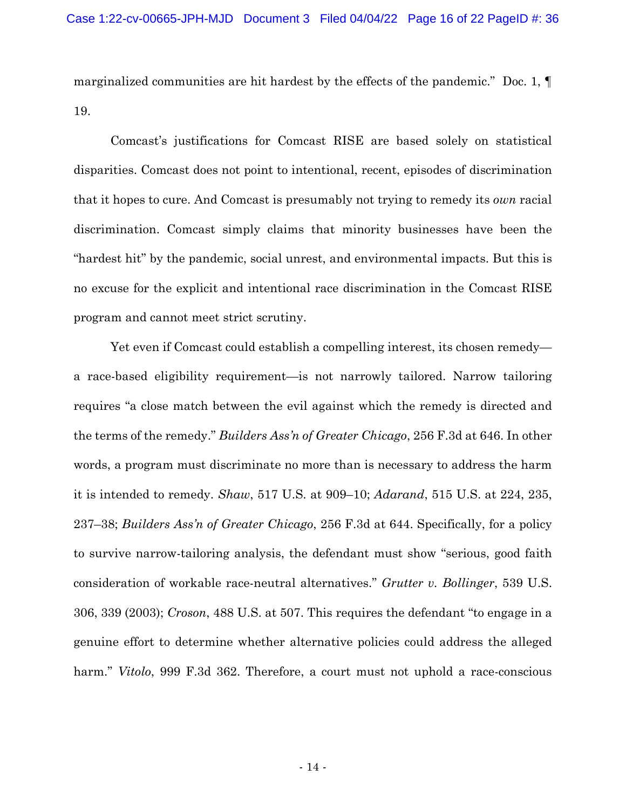marginalized communities are hit hardest by the effects of the pandemic." Doc. 1, ¶ 19.

Comcast's justifications for Comcast RISE are based solely on statistical disparities. Comcast does not point to intentional, recent, episodes of discrimination that it hopes to cure. And Comcast is presumably not trying to remedy its *own* racial discrimination. Comcast simply claims that minority businesses have been the "hardest hit" by the pandemic, social unrest, and environmental impacts. But this is no excuse for the explicit and intentional race discrimination in the Comcast RISE program and cannot meet strict scrutiny.

Yet even if Comcast could establish a compelling interest, its chosen remedy a race-based eligibility requirement—is not narrowly tailored. Narrow tailoring requires "a close match between the evil against which the remedy is directed and the terms of the remedy." *Builders Ass'n of Greater Chicago*, 256 F.3d at 646. In other words, a program must discriminate no more than is necessary to address the harm it is intended to remedy. *Shaw*, 517 U.S. at 909–10; *Adarand*, 515 U.S. at 224, 235, 237–38; *Builders Ass'n of Greater Chicago*, 256 F.3d at 644. Specifically, for a policy to survive narrow-tailoring analysis, the defendant must show "serious, good faith consideration of workable race-neutral alternatives." *Grutter v. Bollinger*, 539 U.S. 306, 339 (2003); *Croson*, 488 U.S. at 507. This requires the defendant "to engage in a genuine effort to determine whether alternative policies could address the alleged harm." *Vitolo*, 999 F.3d 362. Therefore, a court must not uphold a race-conscious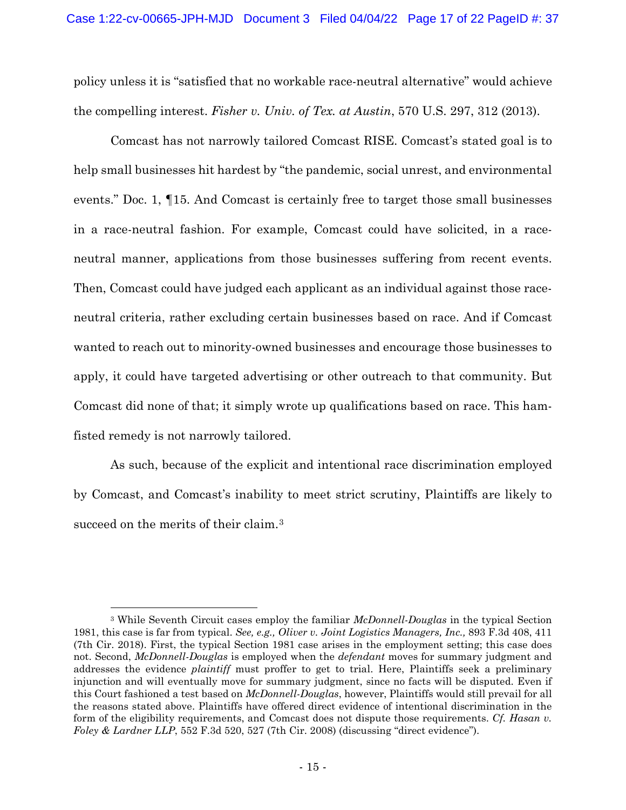policy unless it is "satisfied that no workable race-neutral alternative" would achieve the compelling interest. *Fisher v. Univ. of Tex. at Austin*, 570 U.S. 297, 312 (2013).

Comcast has not narrowly tailored Comcast RISE. Comcast's stated goal is to help small businesses hit hardest by "the pandemic, social unrest, and environmental events." Doc. 1, ¶15. And Comcast is certainly free to target those small businesses in a race-neutral fashion. For example, Comcast could have solicited, in a raceneutral manner, applications from those businesses suffering from recent events. Then, Comcast could have judged each applicant as an individual against those raceneutral criteria, rather excluding certain businesses based on race. And if Comcast wanted to reach out to minority-owned businesses and encourage those businesses to apply, it could have targeted advertising or other outreach to that community. But Comcast did none of that; it simply wrote up qualifications based on race. This hamfisted remedy is not narrowly tailored.

As such, because of the explicit and intentional race discrimination employed by Comcast, and Comcast's inability to meet strict scrutiny, Plaintiffs are likely to succeed on the merits of their claim.<sup>[3](#page-16-0)</sup>

<span id="page-16-0"></span><sup>3</sup> While Seventh Circuit cases employ the familiar *McDonnell-Douglas* in the typical Section 1981, this case is far from typical. *See, e.g., Oliver v. Joint Logistics Managers, Inc.,* 893 F.3d 408, 411 (7th Cir. 2018). First, the typical Section 1981 case arises in the employment setting; this case does not. Second, *McDonnell-Douglas* is employed when the *defendant* moves for summary judgment and addresses the evidence *plaintiff* must proffer to get to trial. Here, Plaintiffs seek a preliminary injunction and will eventually move for summary judgment, since no facts will be disputed. Even if this Court fashioned a test based on *McDonnell-Douglas*, however, Plaintiffs would still prevail for all the reasons stated above. Plaintiffs have offered direct evidence of intentional discrimination in the form of the eligibility requirements, and Comcast does not dispute those requirements. *Cf. Hasan v. Foley & Lardner LLP*, 552 F.3d 520, 527 (7th Cir. 2008) (discussing "direct evidence").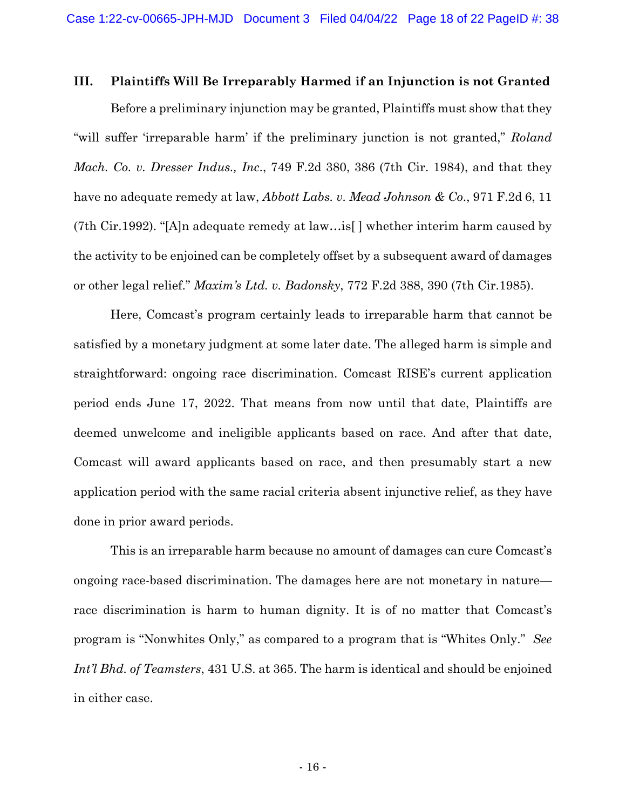#### **III. Plaintiffs Will Be Irreparably Harmed if an Injunction is not Granted**

Before a preliminary injunction may be granted, Plaintiffs must show that they "will suffer 'irreparable harm' if the preliminary junction is not granted," *Roland Mach. Co. v. Dresser Indus., Inc*., 749 F.2d 380, 386 (7th Cir. 1984), and that they have no adequate remedy at law, *Abbott Labs. v. Mead Johnson & Co*., 971 F.2d 6, 11 (7th Cir.1992). "[A]n adequate remedy at law…is[ ] whether interim harm caused by the activity to be enjoined can be completely offset by a subsequent award of damages or other legal relief." *Maxim's Ltd. v. Badonsky*, 772 F.2d 388, 390 (7th Cir.1985).

Here, Comcast's program certainly leads to irreparable harm that cannot be satisfied by a monetary judgment at some later date. The alleged harm is simple and straightforward: ongoing race discrimination. Comcast RISE's current application period ends June 17, 2022. That means from now until that date, Plaintiffs are deemed unwelcome and ineligible applicants based on race. And after that date, Comcast will award applicants based on race, and then presumably start a new application period with the same racial criteria absent injunctive relief, as they have done in prior award periods.

This is an irreparable harm because no amount of damages can cure Comcast's ongoing race-based discrimination. The damages here are not monetary in nature race discrimination is harm to human dignity. It is of no matter that Comcast's program is "Nonwhites Only," as compared to a program that is "Whites Only." *See Int'l Bhd. of Teamsters*, 431 U.S. at 365. The harm is identical and should be enjoined in either case.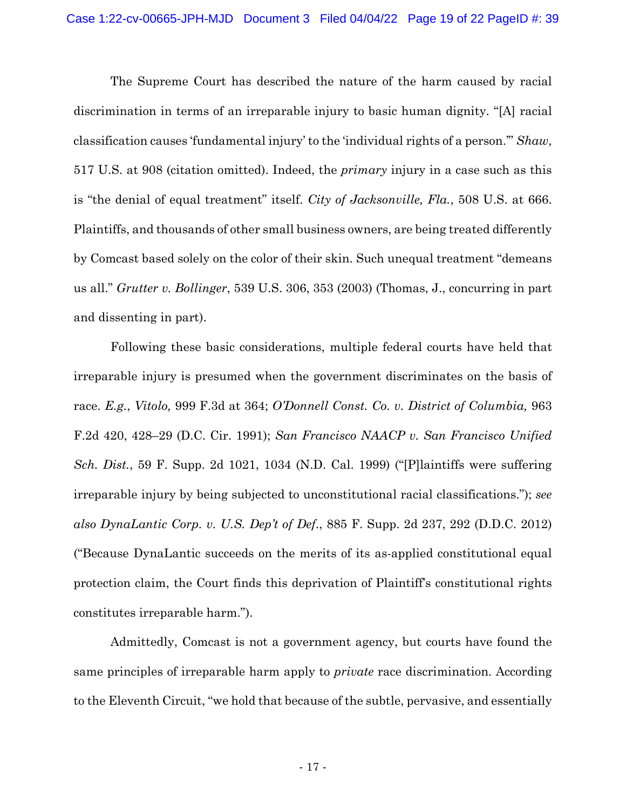The Supreme Court has described the nature of the harm caused by racial discrimination in terms of an irreparable injury to basic human dignity. "[A] racial classification causes 'fundamental injury' to the 'individual rights of a person.'" *Shaw*, 517 U.S. at 908 (citation omitted). Indeed, the *primary* injury in a case such as this is "the denial of equal treatment" itself. *City of Jacksonville, Fla.*, 508 U.S. at 666. Plaintiffs, and thousands of other small business owners, are being treated differently by Comcast based solely on the color of their skin. Such unequal treatment "demeans us all." *Grutter v. Bollinger*, 539 U.S. 306, 353 (2003) (Thomas, J., concurring in part and dissenting in part).

Following these basic considerations, multiple federal courts have held that irreparable injury is presumed when the government discriminates on the basis of race. *E.g.*, *Vitolo,* 999 F.3d at 364; *O'Donnell Const. Co. v. District of Columbia,* 963 F.2d 420, 428–29 (D.C. Cir. 1991); *San Francisco NAACP v. San Francisco Unified Sch. Dist.*, 59 F. Supp. 2d 1021, 1034 (N.D. Cal. 1999) ("[P]laintiffs were suffering irreparable injury by being subjected to unconstitutional racial classifications."); *see also DynaLantic Corp. v. U.S. Dep't of Def*., 885 F. Supp. 2d 237, 292 (D.D.C. 2012) ("Because DynaLantic succeeds on the merits of its as-applied constitutional equal protection claim, the Court finds this deprivation of Plaintiff's constitutional rights constitutes irreparable harm.").

Admittedly, Comcast is not a government agency, but courts have found the same principles of irreparable harm apply to *private* race discrimination. According to the Eleventh Circuit, "we hold that because of the subtle, pervasive, and essentially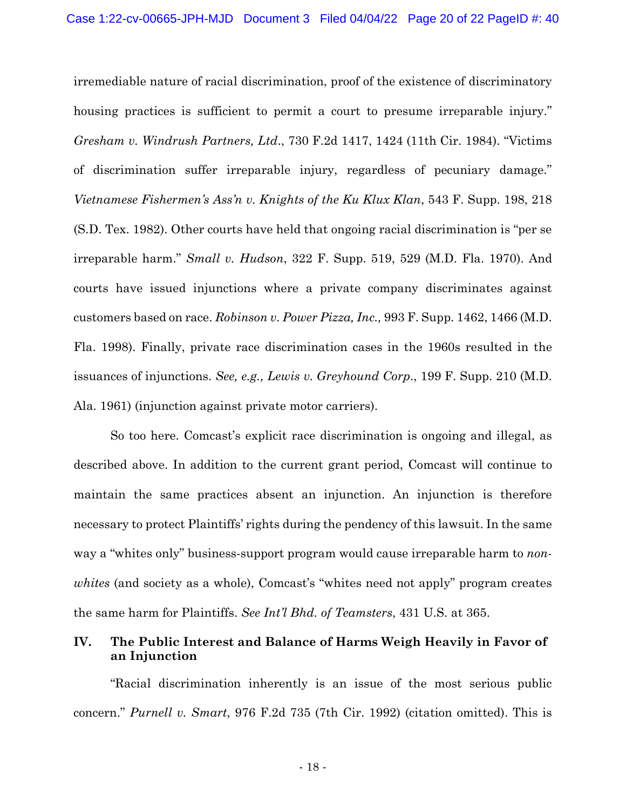irremediable nature of racial discrimination, proof of the existence of discriminatory housing practices is sufficient to permit a court to presume irreparable injury." *Gresham v. Windrush Partners, Ltd*., 730 F.2d 1417, 1424 (11th Cir. 1984). "Victims of discrimination suffer irreparable injury, regardless of pecuniary damage." *Vietnamese Fishermen's Ass'n v. Knights of the Ku Klux Klan*, 543 F. Supp. 198, 218 (S.D. Tex. 1982). Other courts have held that ongoing racial discrimination is "per se irreparable harm." *Small v. Hudson*, 322 F. Supp. 519, 529 (M.D. Fla. 1970). And courts have issued injunctions where a private company discriminates against customers based on race. *Robinson v. Power Pizza, Inc.,* 993 F. Supp. 1462, 1466 (M.D. Fla. 1998). Finally, private race discrimination cases in the 1960s resulted in the issuances of injunctions. *See, e.g., Lewis v. Greyhound Corp*., 199 F. Supp. 210 (M.D. Ala. 1961) (injunction against private motor carriers).

So too here. Comcast's explicit race discrimination is ongoing and illegal, as described above. In addition to the current grant period, Comcast will continue to maintain the same practices absent an injunction. An injunction is therefore necessary to protect Plaintiffs' rights during the pendency of this lawsuit. In the same way a "whites only" business-support program would cause irreparable harm to *nonwhites* (and society as a whole), Comcast's "whites need not apply" program creates the same harm for Plaintiffs. *See Int'l Bhd. of Teamsters*, 431 U.S. at 365.

## **IV. The Public Interest and Balance of Harms Weigh Heavily in Favor of an Injunction**

"Racial discrimination inherently is an issue of the most serious public concern." *Purnell v. Smart*, 976 F.2d 735 (7th Cir. 1992) (citation omitted). This is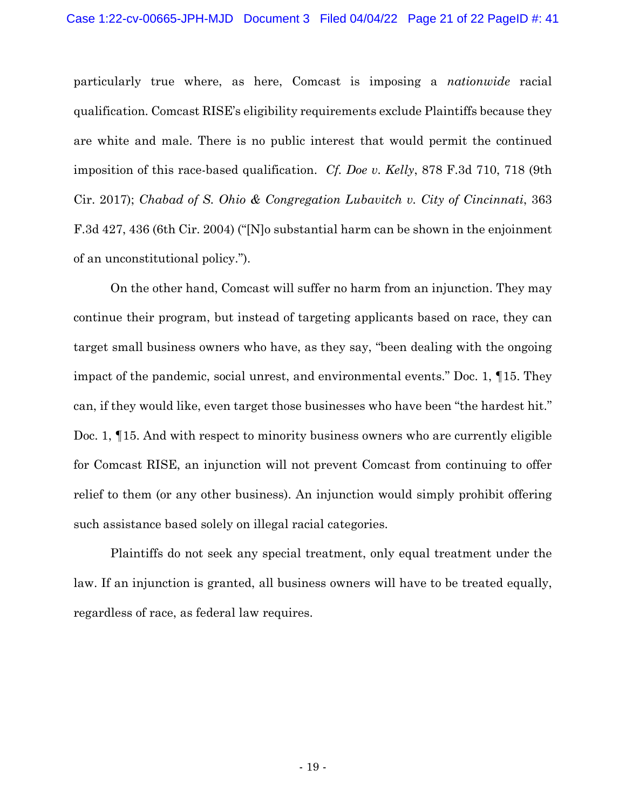particularly true where, as here, Comcast is imposing a *nationwide* racial qualification. Comcast RISE's eligibility requirements exclude Plaintiffs because they are white and male. There is no public interest that would permit the continued imposition of this race-based qualification. *Cf. Doe v. Kelly*, 878 F.3d 710, 718 (9th Cir. 2017); *Chabad of S. Ohio & Congregation Lubavitch v. City of Cincinnati*, 363 F.3d 427, 436 (6th Cir. 2004) ("[N]o substantial harm can be shown in the enjoinment of an unconstitutional policy.").

On the other hand, Comcast will suffer no harm from an injunction. They may continue their program, but instead of targeting applicants based on race, they can target small business owners who have, as they say, "been dealing with the ongoing impact of the pandemic, social unrest, and environmental events." Doc. 1, ¶15. They can, if they would like, even target those businesses who have been "the hardest hit." Doc. 1, ¶15. And with respect to minority business owners who are currently eligible for Comcast RISE, an injunction will not prevent Comcast from continuing to offer relief to them (or any other business). An injunction would simply prohibit offering such assistance based solely on illegal racial categories.

Plaintiffs do not seek any special treatment, only equal treatment under the law. If an injunction is granted, all business owners will have to be treated equally, regardless of race, as federal law requires.